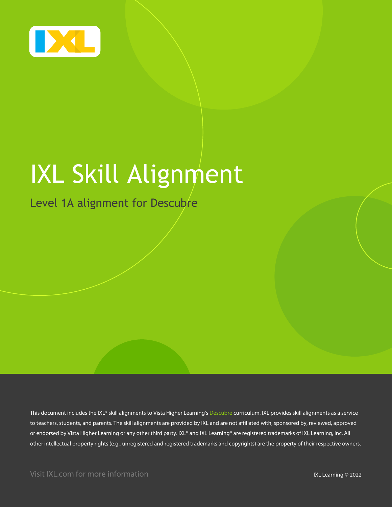

# IXL Skill Alignment

#### Level 1A alignment for Descubre

This document includes the IXL® skill alignments to Vista Higher Learning's Descubre curriculum. IXL provides skill alignments as a service to teachers, students, and parents. The skill alignments are provided by IXL and are not affiliated with, sponsored by, reviewed, approved or endorsed by Vista Higher Learning or any other third party. IXL® and IXL Learning® are registered trademarks of IXL Learning, Inc. All other intellectual property rights (e.g., unregistered and registered trademarks and copyrights) are the property of their respective owners.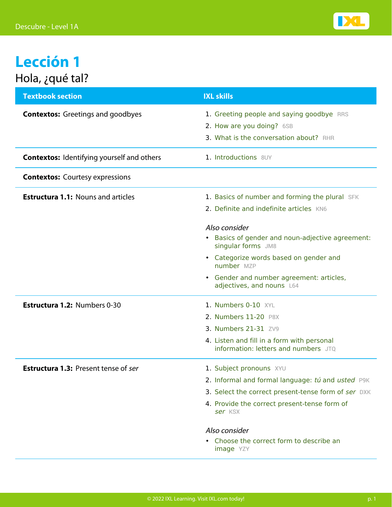

## **Lección 1** Hola, ¿qué tal?

| <b>Textbook section</b>                           | <b>IXL skills</b>                                                                                                |
|---------------------------------------------------|------------------------------------------------------------------------------------------------------------------|
| <b>Contextos:</b> Greetings and goodbyes          | 1. Greeting people and saying goodbye RRS<br>2. How are you doing? 6SB<br>3. What is the conversation about? RHR |
| <b>Contextos:</b> Identifying yourself and others | 1. Introductions 8UY                                                                                             |
| <b>Contextos:</b> Courtesy expressions            |                                                                                                                  |
| <b>Estructura 1.1: Nouns and articles</b>         | 1. Basics of number and forming the plural SFK<br>2. Definite and indefinite articles KN6                        |
|                                                   | Also consider<br>Basics of gender and noun-adjective agreement:<br>$\bullet$<br>singular forms JM8               |
|                                                   | • Categorize words based on gender and<br>number MZP                                                             |
|                                                   | • Gender and number agreement: articles,<br>adjectives, and nouns L64                                            |
| Estructura 1.2: Numbers 0-30                      | 1. Numbers 0-10 XYL                                                                                              |
|                                                   | 2. Numbers 11-20 P8X                                                                                             |
|                                                   | 3. Numbers 21-31 ZV9                                                                                             |
|                                                   | 4. Listen and fill in a form with personal<br>information: letters and numbers JTO                               |
| <b>Estructura 1.3: Present tense of ser</b>       | 1. Subject pronouns XYU                                                                                          |
|                                                   | 2. Informal and formal language: tú and usted P9K                                                                |
|                                                   | 3. Select the correct present-tense form of ser DXK                                                              |
|                                                   | 4. Provide the correct present-tense form of<br>ser KSX                                                          |
|                                                   | Also consider                                                                                                    |
|                                                   | Choose the correct form to describe an<br><b>image</b> YZY                                                       |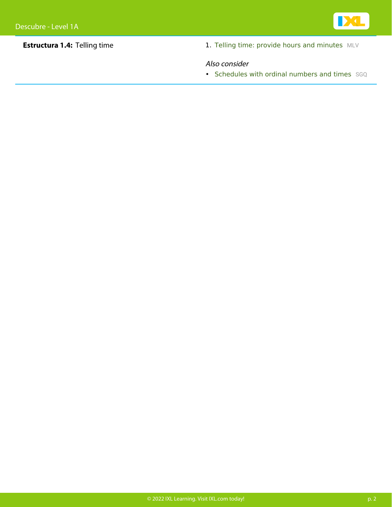

**Estructura 1.4:** Telling time 1. [Telling time: provide hours and minutes](https://www.ixl.com/spanish/level-1/telling-time-provide-hours-and-minutes) [MLV](https://www.ixl.com/spanish/level-1/telling-time-provide-hours-and-minutes)

#### Also consider

• [Schedules with ordinal numbers and times](https://www.ixl.com/spanish/level-1/schedules-with-ordinal-numbers-and-times) [SGQ](https://www.ixl.com/spanish/level-1/schedules-with-ordinal-numbers-and-times)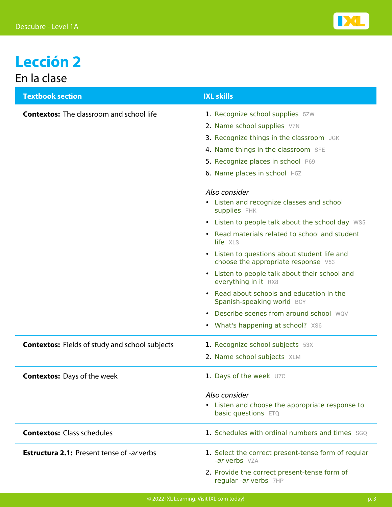

### **Lección 2** En la clase

| <b>Textbook section</b>                               | <b>IXL skills</b>                                                                              |
|-------------------------------------------------------|------------------------------------------------------------------------------------------------|
| <b>Contextos:</b> The classroom and school life       | 1. Recognize school supplies 5ZW                                                               |
|                                                       | 2. Name school supplies V7N                                                                    |
|                                                       | 3. Recognize things in the classroom JGK                                                       |
|                                                       | 4. Name things in the classroom SFE                                                            |
|                                                       | 5. Recognize places in school P69                                                              |
|                                                       | 6. Name places in school H5Z                                                                   |
|                                                       | Also consider                                                                                  |
|                                                       | • Listen and recognize classes and school<br>supplies FHK                                      |
|                                                       | • Listen to people talk about the school day WS5                                               |
|                                                       | Read materials related to school and student<br>life XLS                                       |
|                                                       | Listen to questions about student life and<br>$\bullet$<br>choose the appropriate response V53 |
|                                                       | Listen to people talk about their school and<br>everything in it RX8                           |
|                                                       | Read about schools and education in the<br>Spanish-speaking world BCY                          |
|                                                       | Describe scenes from around school WQV                                                         |
|                                                       | • What's happening at school? XS6                                                              |
| <b>Contextos:</b> Fields of study and school subjects | 1. Recognize school subjects 53X                                                               |
|                                                       | 2. Name school subjects XLM                                                                    |
| <b>Contextos:</b> Days of the week                    | 1. Days of the week U7C                                                                        |
|                                                       | Also consider                                                                                  |
|                                                       | • Listen and choose the appropriate response to<br>basic questions ETQ                         |
| <b>Contextos: Class schedules</b>                     | 1. Schedules with ordinal numbers and times SGO                                                |
| <b>Estructura 2.1: Present tense of -ar verbs</b>     | 1. Select the correct present-tense form of regular<br>-ar verbs VZA                           |
|                                                       | 2. Provide the correct present-tense form of<br>regular -ar verbs 7HP                          |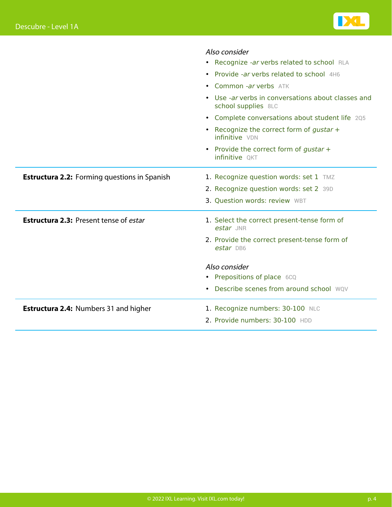

|                                                     | Also consider                                                           |
|-----------------------------------------------------|-------------------------------------------------------------------------|
|                                                     | • Recognize -ar verbs related to school RLA                             |
|                                                     | • Provide -ar verbs related to school 4H6                               |
|                                                     | • Common -ar verbs ATK                                                  |
|                                                     | Use -ar verbs in conversations about classes and<br>school supplies 8LC |
|                                                     | • Complete conversations about student life 205                         |
|                                                     | • Recognize the correct form of gustar +<br>infinitive VDN              |
|                                                     | • Provide the correct form of gustar +<br>infinitive QKT                |
| <b>Estructura 2.2:</b> Forming questions in Spanish | 1. Recognize question words: set 1 TMZ                                  |
|                                                     | 2. Recognize question words: set 2 39D                                  |
|                                                     | 3. Question words: review WBT                                           |
| <b>Estructura 2.3: Present tense of estar</b>       | 1. Select the correct present-tense form of<br>estar JNR                |
|                                                     | 2. Provide the correct present-tense form of<br>estar DB6               |
|                                                     | Also consider                                                           |
|                                                     | • Prepositions of place 6CQ                                             |
|                                                     | • Describe scenes from around school WQV                                |
| <b>Estructura 2.4: Numbers 31 and higher</b>        | 1. Recognize numbers: 30-100 NLC                                        |
|                                                     | 2. Provide numbers: 30-100 HDD                                          |
|                                                     |                                                                         |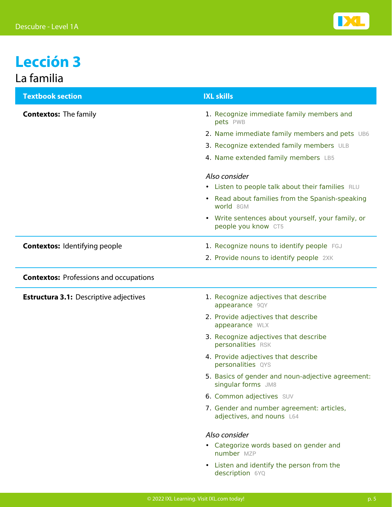

#### **Lección 3** La familia

| <b>Textbook section</b>                       | <b>IXL skills</b>                                                                   |
|-----------------------------------------------|-------------------------------------------------------------------------------------|
| <b>Contextos: The family</b>                  | 1. Recognize immediate family members and<br>pets PWB                               |
|                                               | 2. Name immediate family members and pets UB6                                       |
|                                               | 3. Recognize extended family members ULB                                            |
|                                               | 4. Name extended family members LB5                                                 |
|                                               | Also consider                                                                       |
|                                               | • Listen to people talk about their families RLU                                    |
|                                               | Read about families from the Spanish-speaking<br>$\bullet$<br>world 8GM             |
|                                               | Write sentences about yourself, your family, or<br>$\bullet$<br>people you know CT5 |
| <b>Contextos: Identifying people</b>          | 1. Recognize nouns to identify people FGJ                                           |
|                                               | 2. Provide nouns to identify people 2XK                                             |
| <b>Contextos: Professions and occupations</b> |                                                                                     |
| <b>Estructura 3.1: Descriptive adjectives</b> | 1. Recognize adjectives that describe<br>appearance 9QY                             |
|                                               | 2. Provide adjectives that describe<br>appearance WLX                               |
|                                               | 3. Recognize adjectives that describe<br>personalities RSK                          |
|                                               | 4. Provide adjectives that describe<br>personalities QYS                            |
|                                               | 5. Basics of gender and noun-adjective agreement:<br>singular forms JM8             |
|                                               | 6. Common adjectives SUV                                                            |
|                                               | 7. Gender and number agreement: articles,<br>adjectives, and nouns L64              |
|                                               | Also consider                                                                       |
|                                               | • Categorize words based on gender and<br>number MZP                                |
|                                               | Listen and identify the person from the<br>$\bullet$<br>description 6YQ             |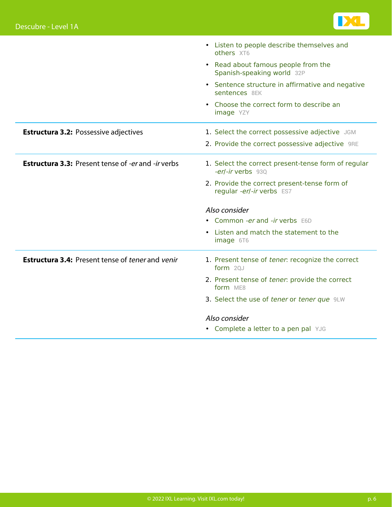

|                                                           | • Listen to people describe themselves and<br>others XT6                  |
|-----------------------------------------------------------|---------------------------------------------------------------------------|
|                                                           | • Read about famous people from the<br>Spanish-speaking world 32P         |
|                                                           | • Sentence structure in affirmative and negative<br>sentences 8EK         |
|                                                           | • Choose the correct form to describe an<br>image YZY                     |
| <b>Estructura 3.2: Possessive adjectives</b>              | 1. Select the correct possessive adjective JGM                            |
|                                                           | 2. Provide the correct possessive adjective 9RE                           |
| <b>Estructura 3.3: Present tense of -er and -ir verbs</b> | 1. Select the correct present-tense form of regular<br>-er/-ir verbs 930  |
|                                                           | 2. Provide the correct present-tense form of<br>regular -er/-ir verbs ES7 |
|                                                           | Also consider                                                             |
|                                                           | • Common -er and -ir verbs E6D                                            |
|                                                           | • Listen and match the statement to the<br>image 6T6                      |
| <b>Estructura 3.4: Present tense of tener and venir</b>   | 1. Present tense of tener: recognize the correct<br>form 20J              |
|                                                           | 2. Present tense of tener: provide the correct<br>form ME8                |
|                                                           | 3. Select the use of tener or tener que 9LW                               |
|                                                           | Also consider                                                             |
|                                                           | • Complete a letter to a pen pal YJG                                      |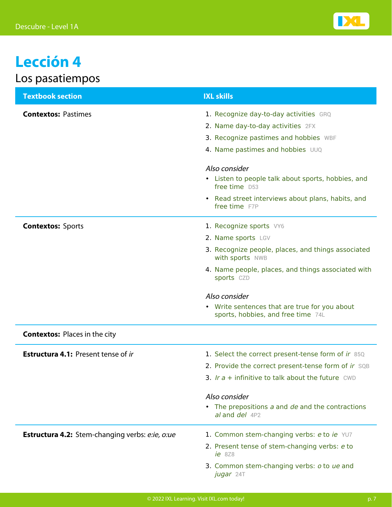

# **Lección 4**

#### Los pasatiempos

| <b>Textbook section</b>                         | <b>IXL skills</b>                                                                                                                                                                                                                                       |
|-------------------------------------------------|---------------------------------------------------------------------------------------------------------------------------------------------------------------------------------------------------------------------------------------------------------|
| <b>Contextos: Pastimes</b>                      | 1. Recognize day-to-day activities GRQ<br>2. Name day-to-day activities 2FX<br>3. Recognize pastimes and hobbies WBF<br>4. Name pastimes and hobbies UUQ<br>Also consider<br>• Listen to people talk about sports, hobbies, and<br>free time D53        |
|                                                 | • Read street interviews about plans, habits, and<br>free time F7P                                                                                                                                                                                      |
| <b>Contextos: Sports</b>                        | 1. Recognize sports VY6<br>2. Name sports LGV<br>3. Recognize people, places, and things associated<br>with sports NWB<br>4. Name people, places, and things associated with<br>sports CZD                                                              |
|                                                 | Also consider<br>• Write sentences that are true for you about<br>sports, hobbies, and free time 74L                                                                                                                                                    |
| <b>Contextos: Places in the city</b>            |                                                                                                                                                                                                                                                         |
| <b>Estructura 4.1: Present tense of ir</b>      | 1. Select the correct present-tense form of ir 85Q<br>2. Provide the correct present-tense form of ir SQB<br>3. Ir $a +$ infinitive to talk about the future CWD<br>Also consider<br>• The prepositions a and de and the contractions<br>al and del 4P2 |
| Estructura 4.2: Stem-changing verbs: e:ie, o:ue | 1. Common stem-changing verbs: e to ie YU7<br>2. Present tense of stem-changing verbs: e to<br>$ie$ 8Z8<br>3. Common stem-changing verbs: o to ue and<br><b>jugar</b> 24T                                                                               |